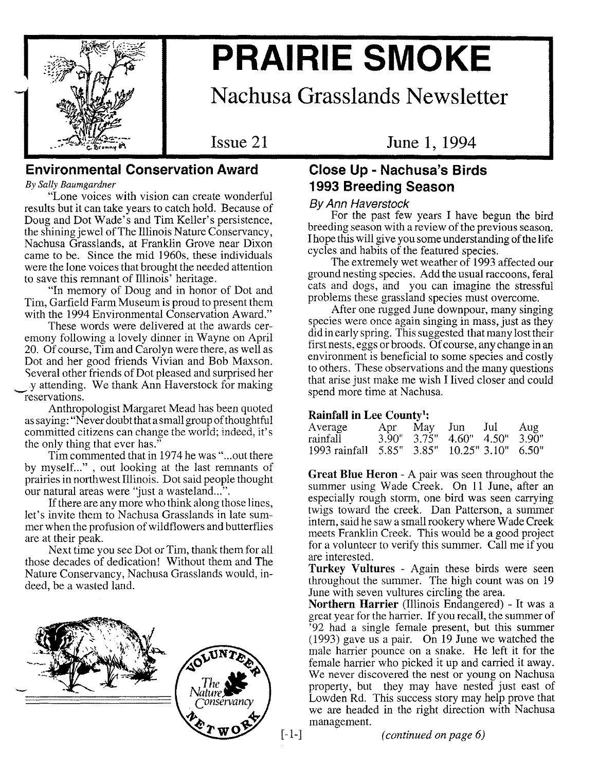

# **PRAIRIE SMOKE**

**Nachusa Grasslands Newsletter**

**Issue 21**

**June 1, 1994**

# **Environmental Conservation Award**

*By Sally Baumgardner*

"Lone voices with vision can create wonderful results but it can take years to catch hold. Because of Doug and Dot Wade's and Tim Keller's persistence, the shining jewel of The Illinois Nature Conservancy, Nachusa Grasslands, at Franklin Grove near Dixon came to be. Since the mid 1960s, these individuals were the lone voices that brought the needed attention to save this remnant of Illinois' heritage.

"In memory of Doug and in honor of Dot and Tim, Garfield Farm Museum is proud to present them with the 1994 Environmental Conservation Award."

These words were delivered at the awards ceremony following a lovely dinner in Wayne on April 20. Of course, Tim and Carolyn were there, as well as Dot and her good friends Vivian and Bob Maxson. Several other friends of Dot pleased and surprised her y attending. We thank Ann Haverstock for making reservations.

Anthropologist Margaret Mead has been quoted as saying: "Never doubt that a small group of thoughtful committed citizens can change the world; indeed, it's the only thing that ever has."

Tim commented that in 1974 he was" ...out there by myself..." , out looking at the last remnants of prairies in northwest Illinois. Dot said people thought our natural areas were "just a wasteland...".

If there are any more who think along those lines, let's invite them to Nachusa Grasslands in late summer when the profusion of wildflowers and butterflies are at their peak.

Next time you see Dot or Tim, thank them for all those decades of dedication! Without them and The Nature Conservancy, Nachusa Grasslands would, indeed, be a wasted land.



# **Close Up - Nachusa's Birds 1993 Breeding Season**

#### *By Ann Haverstock*

For the past few years I have begun the bird breeding season with a review of the previous season. I hope this will give you some understanding of the life cycles and habits of the featured species.

The extremely wet weather of 1993 affected our ground nesting species. Add the usual raccoons, feral cats and dogs, and you can imagine the stressful problems these grassland species must overcome.

After one rugged June downpour, many singing species were once again singing in mass, just as they did in early spring. This suggested that many lost their first nests, eggs or broods. Of course, any change in an environment is beneficial to some species and costly to others. These observations and the many questions that arise just make me wish I lived closer and could spend more time at Nachusa.

#### **Rainfall in Lee** County':

| Average                                      |  | Apr May Jun Jul                         | Aug |
|----------------------------------------------|--|-----------------------------------------|-----|
| rainfall                                     |  | $3.90"$ $3.75"$ $4.60"$ $4.50"$ $3.90"$ |     |
| 1993 rainfall 5.85" 3.85" 10.25" 3.10" 6.50" |  |                                         |     |

**Great Blue Heron -** A pair was seen throughout the summer using Wade Creek. On 11 June, after an summer using wade Creek. On 11 June, after an especially rough storm, one bird was seen carrying twigs toward the creek. Dan Patterson, a summer intern, said he saw a small rookery where Wade Creek meets Franklin Creek. This would be a good project for a volunteer to verify this summer. Call me if you are interested.

**Turkey Vultures -** Again these birds were seen throughout the summer. The high count was on 19 June with seven vultures circling the area.

**Northern Harrier** (Illinois Endangered) - It was a great year for the harrier. If you recall, the summer of '92 had a single female present, but this summer  $(1993)$  gave us a pair. On 19 June we watched the male harrier pounce on a snake. He left it for the female harrier who picked it up and carried it away. We never discovered the nest or young on Nachusa property, but they may have nested just east of Lowden Rd. This success story may help prove that we are headed in the right direction with Nachusa management.

[-1-] *(continued on page 6)*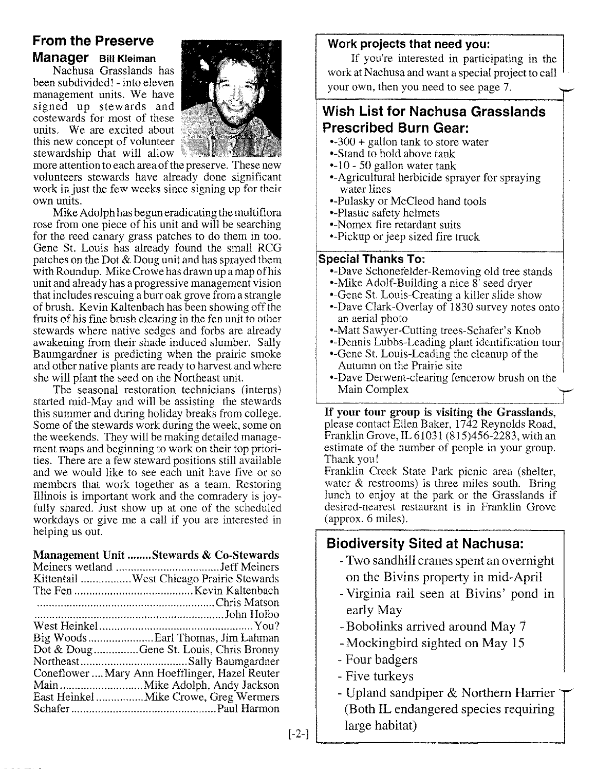# From the Preserve Manager Bill Kleiman

Nachusa Grasslands has been subdivided! - into eleven management units. We have signed up stewards and costewards for most of these units. We are excited about this new concept of volunteer stewardship that will allow



more attention to each area of the preserve. These new volunteers stewards have already done significant work in just the few weeks since signing up for their own units.

Mike Adolph has begun eradicating the multiflora rose from one piece of his unit and will be searching for the reed canary grass patches to do them in too. Gene St. Louis has already found the small RCG patches on the Dot  $\&$  Doug unit and has sprayed them with Roundup. Mike Crowe has drawn up a map of his unit and already has a progressive management vision that includes rescuing a burr oak grove from a strangle of brush. Kevin Kaltenbach has been showing off the fruits of his fine brush clearing in the fen unit to other stewards where native sedges and forbs are already awakening from their shade induced slumber. Sally Baumgardner is predicting when the prairie smoke and other native plants are ready to harvest and where she will plant the seed on the Northeast unit.

The seasonal restoration technicians (interns) started mid-May and will be assisting the stewards this summer and during holiday breaks from college. Some of the stewards work during the week, some on the weekends. They will be making detailed management maps and beginning to work on their top priorities. There are a few steward positions still available and we would like to see each unit have five or so members that work together as a team. Restoring Illinois is important work and the comradery is joyfully shared. Just show up at one of the scheduled workdays or give me a call if you are interested in helping us out.

#### Management Unit ........Stewards & Co-Stewards

| Kittentail West Chicago Prairie Stewards       |
|------------------------------------------------|
|                                                |
|                                                |
|                                                |
|                                                |
| Big Woods  Earl Thomas, Jim Lahman             |
| Dot & DougGene St. Louis, Chris Bronny         |
|                                                |
| Coneflower  Mary Ann Hoefflinger, Hazel Reuter |
|                                                |
|                                                |
|                                                |

### Work projects that need you:

If you're interested in participating in the work at Nachusa and want a special project to call your own, then you need to see page 7.

# Wish List for Nachusa Grasslands Prescribed Burn Gear:

- --300 + gallon tank to store water
- •-Stand to hold above tank
- $-10 50$  gallon water tank
- •-Agricultural herbicide sprayer for spraying water lines
- --Pulasky or McCleod hand tools
- •-Plastic safety helmets
- =Nomex fire retardant suits
- =Pickup or jeep sized fire truck

#### Special Thanks To:

- •-Dave Schonefelder-Removing old tree stands
- •-Mike Adolf-Building a nice  $8^7$  seed dryer
- Gene St. Louis-Creating a killer slide show
- Dave Clark-Overlay of 1830 survey notes onto an aerial photo
- •-Matt Sawyer-Cutting trees-Schafer's Knob
- Dennis Lubbs-Leading plant identification tour
- =Gene St. Louis-Leading the cleanup of the Autumn on the Prairie site
- •-Dave Derwent-clearing fencerow brush on the Main Complex

If your tour group is visiting the Grasslands, please contact Ellen Baker, 1742 Reynolds Road, Franklin Grove, IL 61031 (815)456-2283, with an estimate of the number of people in your group. Thank you!

Franklin Creek State Park picnic area (shelter, water & restrooms) is three miles south. Bring lunch to enjoy at the park or the Grasslands if desired-nearest restaurant is in Franklin Grove (approx. 6 miles).

# Biodiversity Sited at Nachusa:

- Two sandhill cranes spent an overnight on the Bivins property in mid-April
- Virginia rail seen at Bivins' pond in early May
- Bobolinks arrived around May 7
- Mockingbird sighted on May 15
- Four badgers
- Five turkeys
- Upland sandpiper & Northern Harrier (Both IL endangered species requiring large habitat)

[-2-]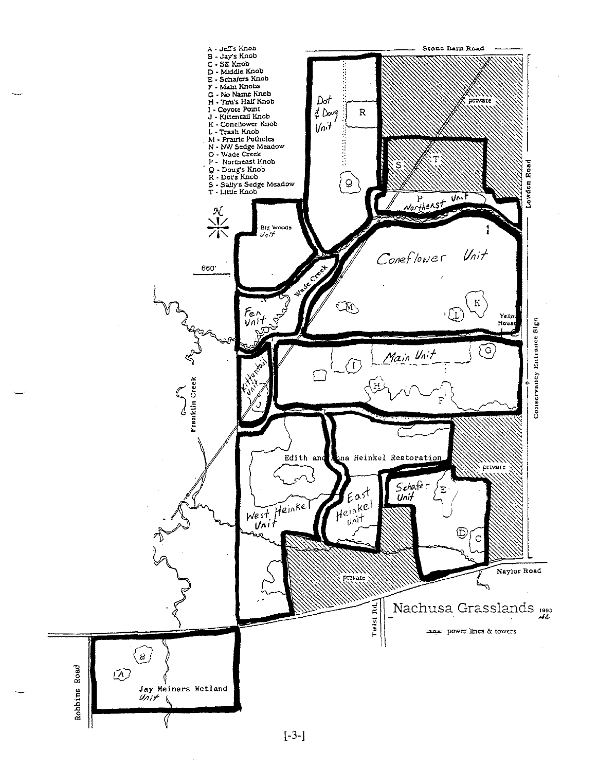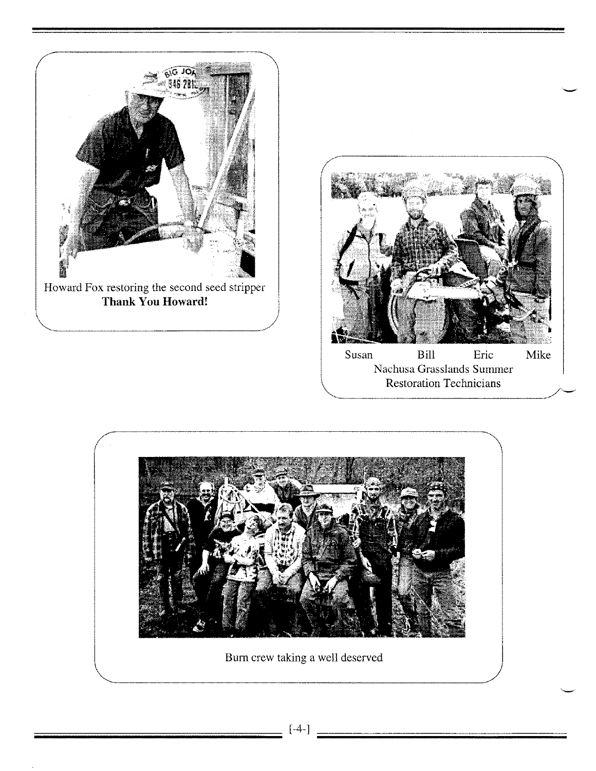





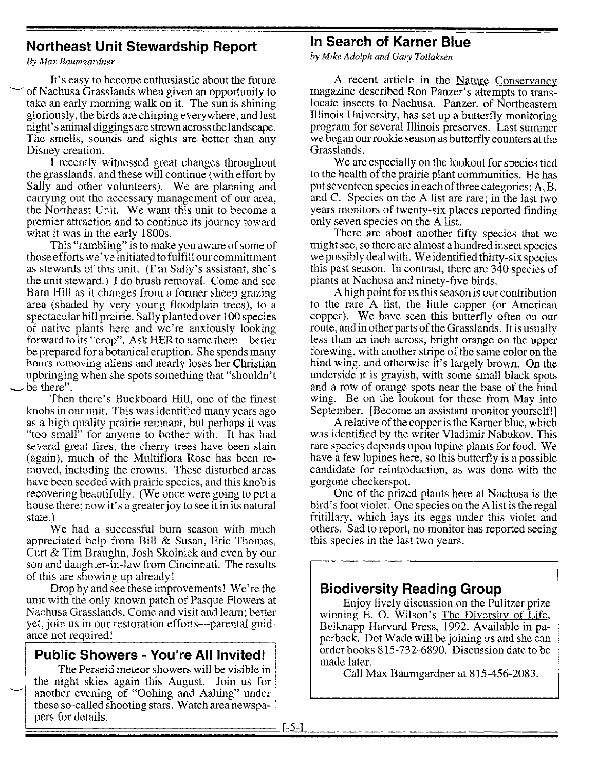# **Northeast Unit Stewardship Report**

*By Max Baumgardner*

It's easy to become enthusiastic about the future of Nachusa Grasslands when given an opportunity to take an early morning walk on it. The sun is shining gloriously, the birds are chirping everywhere, and last night's animal diggings are strewn across the landscape. The smells, sounds and sights are better than any Disney creation.

I recently witnessed great changes throughout the grasslands, and these will continue (with effort by Sally and other volunteers). We are planning and carrying out the necessary management of our area, the Northeast Unit. We want this unit to become a premier attraction and to continue its journey toward what it was in the early 1800s.

This "rambling" is to make you aware of some of those efforts we've initiated to fulfill ourcommittment as stewards of this unit. (I'm Sally's assistant, she's the unit steward.) I do brush removal. Come and see Barn Hill as it changes from a former sheep grazing area (shaded by very young floodplain trees), to a spectacular hill prairie. Sally planted over 100 species of native plants here and we're anxiously looking forward to its "crop". Ask HER to name them-better be prepared for a botanical eruption. She spends many hours removing aliens and nearly loses her Christian upbringing when she spots something that "shouldn't be there".

Then there's Buckboard Hill, one of the finest knobs in our unit. This was identified many years ago as a high quality prairie remnant, but perhaps it was "too small" for anyone to bother with. It has had several great fires, the cherry trees have been slain (again), much of the Multiflora Rose has been removed, including the crowns. These disturbed areas have been seeded with prairie species, and this knob is recovering beautifully. (We once were going to put a house there; now it's a greater joy to see it in its natural state.)

We had a successful burn season with much appreciated help from Bill & Susan, Eric Thomas, Curt & Tim Braughn, Josh Skolnick and even by our son and daughter-in-law from Cincinnati. The results of this are showing up already!

Drop by and see these improvements! We're the unit with the only known patch of Pasque Flowers at Nachusa Grasslands. Come and visit and learn; better yet, join us in our restoration efforts—parental guidance not required!

# **Public Showers - You're All Invited!**

The Perseid meteor showers will be visible in the night skies again this August. Join us for another evening of "Oohing and Aahing" under these so-called shooting stars. Watch area newspapers for details.

# **In Search of Karner Blue**

*by Mike Adolph and Gary Tollaksen*

A recent article in the Nature Conservancy magazine described Ron Panzer's attempts to translocate insects to Nachusa. Panzer, of Northeastern Illinois University, has set up a butterfly monitoring program for several Illinois preserves. Last summer we began our rookie season as butterfly counters at the Grasslands.

We are especially on the lookout for species tied to the health of the prairie plant communities. He has put seventeen species in each of three categories: A, B, and C. Species on the A list are rare; in the last two years monitors of twenty-six places reported finding only seven species on the A list.

There are about another fifty species that we might see, so there are almost a hundred insect species we possibly deal with. We identified thirty-six species this past season. In contrast, there are 340 species of plants at Nachusa and ninety-five birds.

A high point for us this season is our contribution to the rare A list, the little copper (or American copper). We have seen this butterfly often on our route, and in other parts of the Grasslands. It is usually less than an inch across, bright orange on the upper forewing, with another stripe of the same color on the hind wing, and otherwise it's largely brown. On the underside it is grayish, with some small black spots and a row of orange spots near the base of the hind wing. Be on the lookout for these from May into September. [Become an assistant monitor yourself!]

A relative of the copper is the Kamer blue, which was identified by the writer Vladimir Nabukov. This rare species depends upon lupine plants for food. We have a few lupines here, so this butterfly is a possible candidate for reintroduction, as was done with the gorgone checkers pot.

One of the prized plants here at Nachusa is the bird's foot violet. One species on the A list is the regal fritillary, which lays its eggs under this violet and others. Sad to report, no monitor has reported seeing this species in the last two years.

# **Biodiversity Reading Group**

Enjoy lively discussion on the Pulitzer prize winning E. o. Wilson's The Diversity of Life, Belknapp Harvard Press, 1992. Available in paperback. Dot Wade will be joining us and she can order books 815-732-6890. Discussion date to be made later.

Call Max Baumgardner at 815-456-2083.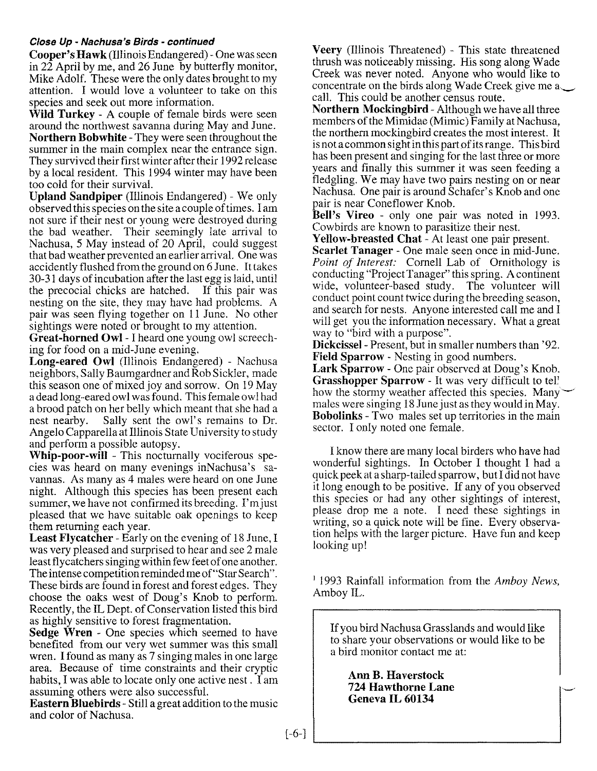#### *Close Up - Nachusa's Birds - continued*

**Cooper's Hawk** (Illinois Endangered) - One was seen in 22 April by me, and 26 June by butterfly monitor Mike Adolf. These were the only dates brought to my attention. I would love a volunteer to take on this species and seek out more information.

**Wild Turkey -** A couple of female birds were seen around the northwest savanna during May and June. **Northern Bobwhite -** They were seen throughout the summer in the main complex near the entrance sign. They survived their first winter after their 1992 release by a local resident. This 1994 winter may have been too cold for their survival.

**Upland Sandpiper** (Illinois Endangered) - We only observed this species on the site a couple of times. I am not sure if their nest or young were destroyed during the bad weather. Their seemingly late arrival to Nachusa, 5 May instead of 20 April, could suggest that bad weather prevented an earlier arrival. One was accidently flushed from the ground on 6 June. It takes 30-31 days of incubation after the last egg is laid, until the precocial chicks are hatched. If this pair was nesting on the site, they may have had problems. A pair was seen flying together on 11 June. No other sightings were noted or brought to my attention.

**Great-horned Owl -** I heard one young owl screeching for food on a mid-June evening.

Long-eared Owl (Illinois Endangered) - Nachusa neighbors, Sally Baumgardner and Rob Sickler, made this season one of mixed joy and sorrow. On 19 May a dead long-eared owl was found. This female owl had a brood patch on her belly which meant that she had a nest nearby. Sally sent the owl's remains to Dr. Angelo Capparella at Illinois State University to study and perform a possible autopsy.

**\yhip-poor-will -** This nocturnally vociferous species was heard on many evenings inNachusa's savannas. As many as 4 males were heard on one June night. Although this species has been present each summer, we have not confirmed its breeding. I'm just pleased that we have suitable oak openings to keep them returning each year.

**Least Flycatcher -** Early on the evening of 18 June, I was very pleased and surprised to hear and see 2 male least flycatchers singing within few feet of one another. The intense competition reminded me of "Star Search". These birds are found in forest and forest edges. They choose the oaks west of Doug's Knob to perform. Recently, the IL Dept. of Conservation listed this bird as highly sensitive to forest fragmentation.

**Sedge Wren -** One species which seemed to have benefited from our very wet summer was this small wren. I found as many as 7 singing males in one large area. Because of time constraints and their cryptic habits, I was able to locate only one active nest.  $\tilde{\Gamma}$  am assuming others were also successful.

**Eastern Bluebirds -** Still a great addition to the music and color of Nachusa.

**Veery** (Illinois Threatened) - This state threatened thrush was noticeably missing. His song along Wade Creek was never noted. Anyone who would like to concentrate on the birds along Wade Creek give me a call. This could be another census route.

**Northern Mockingbird -** Although we have all three members of the Mimidae (Mimic) Family at Nachusa the northern mockingbird creates the most interest. It is not a common sight in this part of its range. This bird has been present and singing for the last three or more years and finally this summer it was seen feeding a fledgling, We may have two pairs nesting on or near Nachusa. One pair is around Schafer's Knob and one pair is near Coneflower Knob.

**Bell's Vireo -** only one pair was noted in 1993. Cowbirds are known to parasitize their nest.

**Yellow-breasted Chat -** At least one pair present. **Scarlet Tanager -** One male seen once in mid-June. *Point of Interest:* Cornell Lab of Ornithology is conducting "Project Tanager" this spring. A continent wide, volunteer-based study. The volunteer will conduct point count twice during the breeding season, and search for nests. Anyone interested call me and I will get you the information necessary. What a great way to "bird with a purpose".

**Dickcissel-** Present, but in smaller numbers than '92. **Field Sparrow -** Nesting in good numbers.

**Lark Sparrow -** One pair observed at Doug's Knob. **Grasshopper Sparrow -** It was very difficult to tel' how the stormy weather affected this species. Many males were singing 18 June just as they would in May. Bobolinks - Two males set up territories in the main sector. I only noted one female.

I know there are many local birders who have had wonderful sightings. In October I thought I had a quick peek at a sharp-tailed sparrow, but I did not have it long enough to be positive. If any of you observed this species or had any other sightings of interest, please drop me a note. I need these sightings in writing, so a quick note will be fine. Every observation helps with the larger picture. Have fun and keep looking up!

I 1993 Rainfall information from the *Amboy News,* Amboy IL.

If you bird Nachusa Grasslands and would like to share your observations or would like to be a bird monitor contact me at:

**Ann B. Haverstock 724 Hawthorne Lane Geneva IL 60134**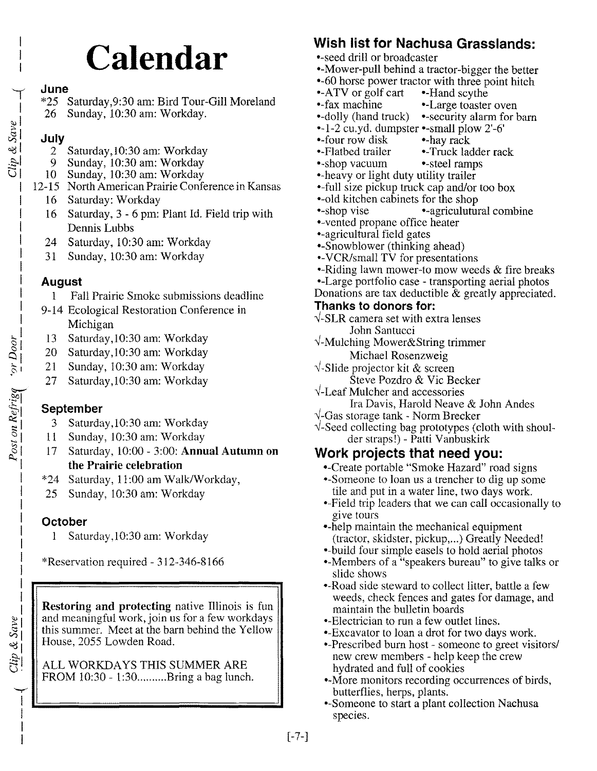# **Calendar**

#### June

 $\overline{a}$ 

I  $\tilde{e}$  $\hat{c}$  i  $\tilde{\varepsilon}$ .e..  $\bm{\cup}$ 

- \*25 Saturday,9:30 am: Bird Tour-Gill Moreland
- 26 Sunday, 10:30 am: Workday.

#### July

- 2 Saturday, 10:30 am: Workday
- 9 Sunday, 10:30 am: Workday
- 10 Sunday, 10:30 am: Workday
- 12-15 North American Prairie Conference in Kansas
	- 16 Saturday: Workday
	- 16 Saturday, 3 6 pm: Plant Id. Field trip with Dennis Lubbs
	- 24 Saturday, 10:30 am: Workday
	- 31 Sunday, 10:30 am: Workday

#### August

- 1 Fall Prairie Smoke submissions deadline
- 9-14 Ecological Restoration Conference in Michigan
- 13 Saturday, 10:30 am: Workday
- 20 Saturday, 10:30 am: Workday
- 21 Sunday, 10:30 am: Workday
- 27 Saturday, 10:30 am: Workday

### September

- 3 Saturday, 10:30 am: Workday
- 11 Sunday, 10:30 am: Workday
- 17 Saturday, 10:00 3:00: Annual Autumn on the Prairie celebration
- \*24 Saturday, 11:00 am WalkIWorkday,
- 25 Sunday, 10:30 am: Workday

### **October**

~ I I I I

 $&$  Save

ost on Refrige

1 Saturday, 10:30 am: Workday

\*Reservation required - 312-346-8166

Restoring and protecting native Illinois is fun and meaningful work, join us for a few workdays this summer. Meet at the barn behind the Yellow House, 2055 Lowden Road.

ALL WORKDAYS THIS SUMMER ARE FROM 10:30 - 1:30.........Bring a bag lunch.

# Wish list for Nachusa Grasslands:

- \*-seed drill or broadcaster
- •-Mower-pull behind a tractor-bigger the better
- •-60 horse power tractor with three point hitch<br>•-ATV or golf cart •-Hand scythe
- $-ATV$  or golf cart
- fax machine Large toaster oven
- $\bullet$ -dolly (hand truck)  $\bullet$ -security alarm for barn
- --1-2 cu.yd. dumpster <small plow 2'-6'
- four row disk hay rack
- •-Flatbed trailer •-Truck ladder rack
- •-shop vacuum •-steel ramps
- =-heavy or light duty utility trailer
- •-full size pickup truck cap and/or too box
- •-old kitchen cabinets for the shop
- •-shop vise •-agriculutural combine
- =-vented propane office heater
- agricultural field gates
- •-Snowblower (thinking ahead)
- --VCR/small TV for presentations
- $\bullet$ -Riding lawn mower-to mow weeds & fire breaks
- <Large portfolio case transporting aerial photos
- Donations are tax deductible & greatly appreciated.

#### Thanks to donors for:

- $\sqrt{-SLR}$  camera set with extra lenses John Santucci
- $\sqrt{\ }$ -Mulching Mower&String trimmer Michael Rosenzweig
- $\sqrt{\cdot}$ Slide projector kit & screen
	- Steve Pozdro & Vie Becker
- $\sqrt{\ }$ -Leaf Mulcher and accessories
	- Ira Davis, Harold Neave & John Andes
- $\sqrt{\frac{1}{2}}$ -Gas storage tank Norm Brecker
- $\sqrt{\ }$ -Seed collecting bag prototypes (cloth with shoulder strapsl) - Patti Vanbuskirk

# Work projects that need yOU:

- =Create portable "Smoke Hazard" road signs
- Someone to loan us a trencher to dig up some tile and put in a water line, two days work.
- =Pield trip leaders that we can call occasionally to give tours
- •-help maintain the mechanical equipment (tractor, skidster, pickup,...) Greatly Needed!
- build four simple easels to hold aerial photos
- Members of a "speakers bureau" to give talks or slide shows
- •-Road side steward to collect litter, battle a few weeds, check fences and gates for damage, and maintain the bulletin boards
- •-Electrician to run a few outlet lines.
- <Excavator to loan a drot for two days work.
- •-Prescribed burn host someone to greet visitors/ new crew members - help keep the crew hydrated and full of cookies
- More monitors recording occurrences of birds, butterflies, herps, plants.
- Someone to start a plant collection Nachusa species.